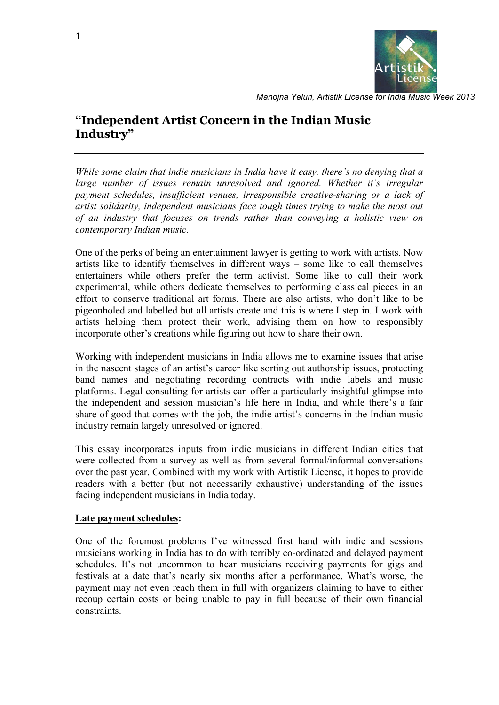

# **"Independent Artist Concern in the Indian Music Industry"**

*While some claim that indie musicians in India have it easy, there's no denying that a*  large number of issues remain unresolved and ignored. Whether it's irregular *payment schedules, insufficient venues, irresponsible creative-sharing or a lack of artist solidarity, independent musicians face tough times trying to make the most out of an industry that focuses on trends rather than conveying a holistic view on contemporary Indian music.*

One of the perks of being an entertainment lawyer is getting to work with artists. Now artists like to identify themselves in different ways – some like to call themselves entertainers while others prefer the term activist. Some like to call their work experimental, while others dedicate themselves to performing classical pieces in an effort to conserve traditional art forms. There are also artists, who don't like to be pigeonholed and labelled but all artists create and this is where I step in. I work with artists helping them protect their work, advising them on how to responsibly incorporate other's creations while figuring out how to share their own.

Working with independent musicians in India allows me to examine issues that arise in the nascent stages of an artist's career like sorting out authorship issues, protecting band names and negotiating recording contracts with indie labels and music platforms. Legal consulting for artists can offer a particularly insightful glimpse into the independent and session musician's life here in India, and while there's a fair share of good that comes with the job, the indie artist's concerns in the Indian music industry remain largely unresolved or ignored.

This essay incorporates inputs from indie musicians in different Indian cities that were collected from a survey as well as from several formal/informal conversations over the past year. Combined with my work with Artistik License, it hopes to provide readers with a better (but not necessarily exhaustive) understanding of the issues facing independent musicians in India today.

#### **Late payment schedules:**

One of the foremost problems I've witnessed first hand with indie and sessions musicians working in India has to do with terribly co-ordinated and delayed payment schedules. It's not uncommon to hear musicians receiving payments for gigs and festivals at a date that's nearly six months after a performance. What's worse, the payment may not even reach them in full with organizers claiming to have to either recoup certain costs or being unable to pay in full because of their own financial constraints.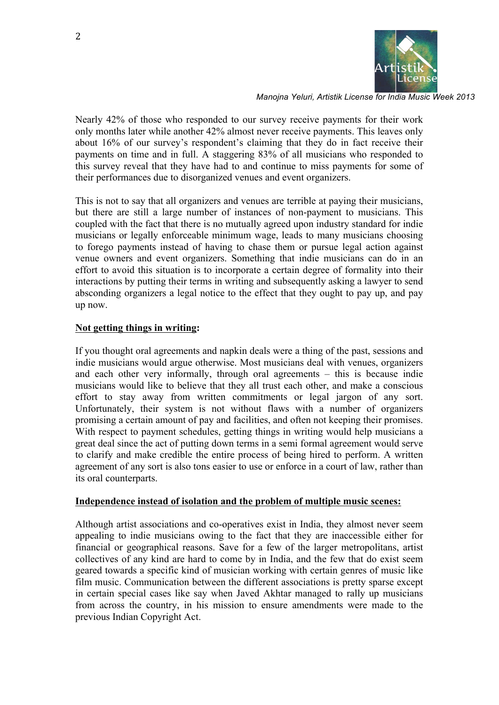

Nearly 42% of those who responded to our survey receive payments for their work only months later while another 42% almost never receive payments. This leaves only about 16% of our survey's respondent's claiming that they do in fact receive their payments on time and in full. A staggering 83% of all musicians who responded to this survey reveal that they have had to and continue to miss payments for some of their performances due to disorganized venues and event organizers.

This is not to say that all organizers and venues are terrible at paying their musicians, but there are still a large number of instances of non-payment to musicians. This coupled with the fact that there is no mutually agreed upon industry standard for indie musicians or legally enforceable minimum wage, leads to many musicians choosing to forego payments instead of having to chase them or pursue legal action against venue owners and event organizers. Something that indie musicians can do in an effort to avoid this situation is to incorporate a certain degree of formality into their interactions by putting their terms in writing and subsequently asking a lawyer to send absconding organizers a legal notice to the effect that they ought to pay up, and pay up now.

## **Not getting things in writing:**

If you thought oral agreements and napkin deals were a thing of the past, sessions and indie musicians would argue otherwise. Most musicians deal with venues, organizers and each other very informally, through oral agreements – this is because indie musicians would like to believe that they all trust each other, and make a conscious effort to stay away from written commitments or legal jargon of any sort. Unfortunately, their system is not without flaws with a number of organizers promising a certain amount of pay and facilities, and often not keeping their promises. With respect to payment schedules, getting things in writing would help musicians a great deal since the act of putting down terms in a semi formal agreement would serve to clarify and make credible the entire process of being hired to perform. A written agreement of any sort is also tons easier to use or enforce in a court of law, rather than its oral counterparts.

### **Independence instead of isolation and the problem of multiple music scenes:**

Although artist associations and co-operatives exist in India, they almost never seem appealing to indie musicians owing to the fact that they are inaccessible either for financial or geographical reasons. Save for a few of the larger metropolitans, artist collectives of any kind are hard to come by in India, and the few that do exist seem geared towards a specific kind of musician working with certain genres of music like film music. Communication between the different associations is pretty sparse except in certain special cases like say when Javed Akhtar managed to rally up musicians from across the country, in his mission to ensure amendments were made to the previous Indian Copyright Act.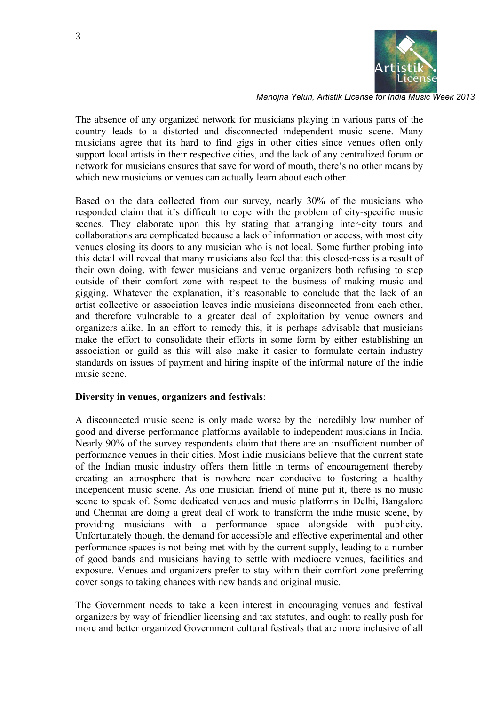

The absence of any organized network for musicians playing in various parts of the country leads to a distorted and disconnected independent music scene. Many musicians agree that its hard to find gigs in other cities since venues often only support local artists in their respective cities, and the lack of any centralized forum or network for musicians ensures that save for word of mouth, there's no other means by which new musicians or venues can actually learn about each other.

Based on the data collected from our survey, nearly 30% of the musicians who responded claim that it's difficult to cope with the problem of city-specific music scenes. They elaborate upon this by stating that arranging inter-city tours and collaborations are complicated because a lack of information or access, with most city venues closing its doors to any musician who is not local. Some further probing into this detail will reveal that many musicians also feel that this closed-ness is a result of their own doing, with fewer musicians and venue organizers both refusing to step outside of their comfort zone with respect to the business of making music and gigging. Whatever the explanation, it's reasonable to conclude that the lack of an artist collective or association leaves indie musicians disconnected from each other, and therefore vulnerable to a greater deal of exploitation by venue owners and organizers alike. In an effort to remedy this, it is perhaps advisable that musicians make the effort to consolidate their efforts in some form by either establishing an association or guild as this will also make it easier to formulate certain industry standards on issues of payment and hiring inspite of the informal nature of the indie music scene.

#### **Diversity in venues, organizers and festivals**:

A disconnected music scene is only made worse by the incredibly low number of good and diverse performance platforms available to independent musicians in India. Nearly 90% of the survey respondents claim that there are an insufficient number of performance venues in their cities. Most indie musicians believe that the current state of the Indian music industry offers them little in terms of encouragement thereby creating an atmosphere that is nowhere near conducive to fostering a healthy independent music scene. As one musician friend of mine put it, there is no music scene to speak of. Some dedicated venues and music platforms in Delhi, Bangalore and Chennai are doing a great deal of work to transform the indie music scene, by providing musicians with a performance space alongside with publicity. Unfortunately though, the demand for accessible and effective experimental and other performance spaces is not being met with by the current supply, leading to a number of good bands and musicians having to settle with mediocre venues, facilities and exposure. Venues and organizers prefer to stay within their comfort zone preferring cover songs to taking chances with new bands and original music.

The Government needs to take a keen interest in encouraging venues and festival organizers by way of friendlier licensing and tax statutes, and ought to really push for more and better organized Government cultural festivals that are more inclusive of all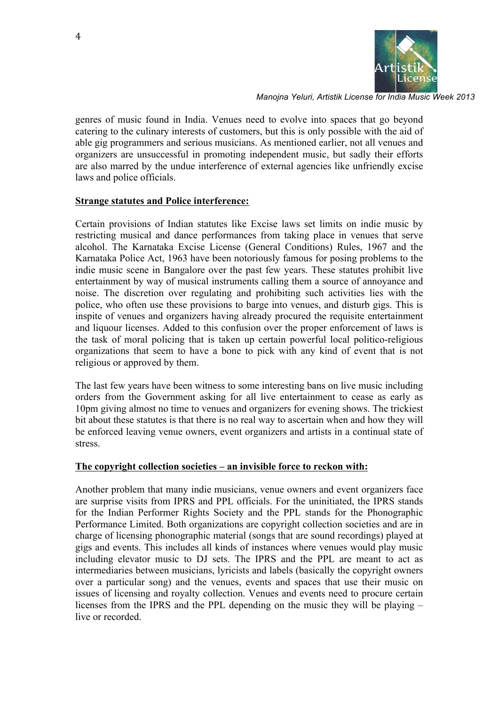

genres of music found in India. Venues need to evolve into spaces that go beyond catering to the culinary interests of customers, but this is only possible with the aid of able gig programmers and serious musicians. As mentioned earlier, not all venues and organizers are unsuccessful in promoting independent music, but sadly their efforts are also marred by the undue interference of external agencies like unfriendly excise laws and police officials.

#### **Strange statutes and Police interference:**

Certain provisions of Indian statutes like Excise laws set limits on indie music by restricting musical and dance performances from taking place in venues that serve alcohol. The Karnataka Excise License (General Conditions) Rules, 1967 and the Karnataka Police Act, 1963 have been notoriously famous for posing problems to the indie music scene in Bangalore over the past few years. These statutes prohibit live entertainment by way of musical instruments calling them a source of annoyance and noise. The discretion over regulating and prohibiting such activities lies with the police, who often use these provisions to barge into venues, and disturb gigs. This is inspite of venues and organizers having already procured the requisite entertainment and liquour licenses. Added to this confusion over the proper enforcement of laws is the task of moral policing that is taken up certain powerful local politico-religious organizations that seem to have a bone to pick with any kind of event that is not religious or approved by them.

The last few years have been witness to some interesting bans on live music including orders from the Government asking for all live entertainment to cease as early as 10pm giving almost no time to venues and organizers for evening shows. The trickiest bit about these statutes is that there is no real way to ascertain when and how they will be enforced leaving venue owners, event organizers and artists in a continual state of stress.

#### **The copyright collection societies – an invisible force to reckon with:**

Another problem that many indie musicians, venue owners and event organizers face are surprise visits from IPRS and PPL officials. For the uninitiated, the IPRS stands for the Indian Performer Rights Society and the PPL stands for the Phonographic Performance Limited. Both organizations are copyright collection societies and are in charge of licensing phonographic material (songs that are sound recordings) played at gigs and events. This includes all kinds of instances where venues would play music including elevator music to DJ sets. The IPRS and the PPL are meant to act as intermediaries between musicians, lyricists and labels (basically the copyright owners over a particular song) and the venues, events and spaces that use their music on issues of licensing and royalty collection. Venues and events need to procure certain licenses from the IPRS and the PPL depending on the music they will be playing – live or recorded.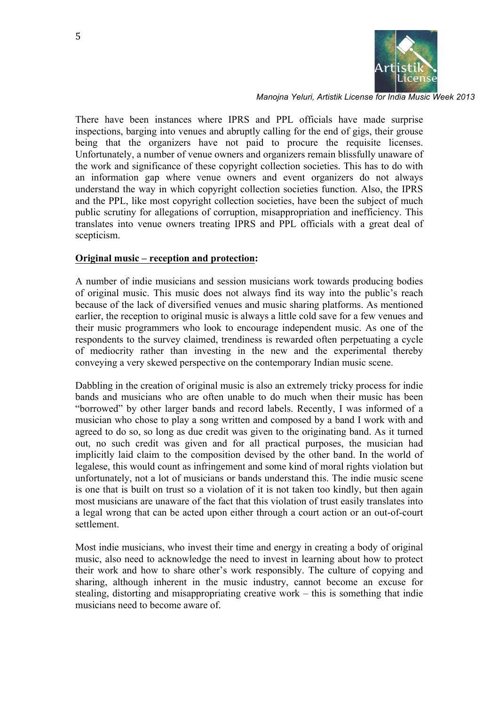

There have been instances where IPRS and PPL officials have made surprise inspections, barging into venues and abruptly calling for the end of gigs, their grouse being that the organizers have not paid to procure the requisite licenses. Unfortunately, a number of venue owners and organizers remain blissfully unaware of the work and significance of these copyright collection societies. This has to do with an information gap where venue owners and event organizers do not always understand the way in which copyright collection societies function. Also, the IPRS and the PPL, like most copyright collection societies, have been the subject of much public scrutiny for allegations of corruption, misappropriation and inefficiency. This translates into venue owners treating IPRS and PPL officials with a great deal of scepticism.

#### **Original music – reception and protection:**

A number of indie musicians and session musicians work towards producing bodies of original music. This music does not always find its way into the public's reach because of the lack of diversified venues and music sharing platforms. As mentioned earlier, the reception to original music is always a little cold save for a few venues and their music programmers who look to encourage independent music. As one of the respondents to the survey claimed, trendiness is rewarded often perpetuating a cycle of mediocrity rather than investing in the new and the experimental thereby conveying a very skewed perspective on the contemporary Indian music scene.

Dabbling in the creation of original music is also an extremely tricky process for indie bands and musicians who are often unable to do much when their music has been "borrowed" by other larger bands and record labels. Recently, I was informed of a musician who chose to play a song written and composed by a band I work with and agreed to do so, so long as due credit was given to the originating band. As it turned out, no such credit was given and for all practical purposes, the musician had implicitly laid claim to the composition devised by the other band. In the world of legalese, this would count as infringement and some kind of moral rights violation but unfortunately, not a lot of musicians or bands understand this. The indie music scene is one that is built on trust so a violation of it is not taken too kindly, but then again most musicians are unaware of the fact that this violation of trust easily translates into a legal wrong that can be acted upon either through a court action or an out-of-court settlement.

Most indie musicians, who invest their time and energy in creating a body of original music, also need to acknowledge the need to invest in learning about how to protect their work and how to share other's work responsibly. The culture of copying and sharing, although inherent in the music industry, cannot become an excuse for stealing, distorting and misappropriating creative work – this is something that indie musicians need to become aware of.